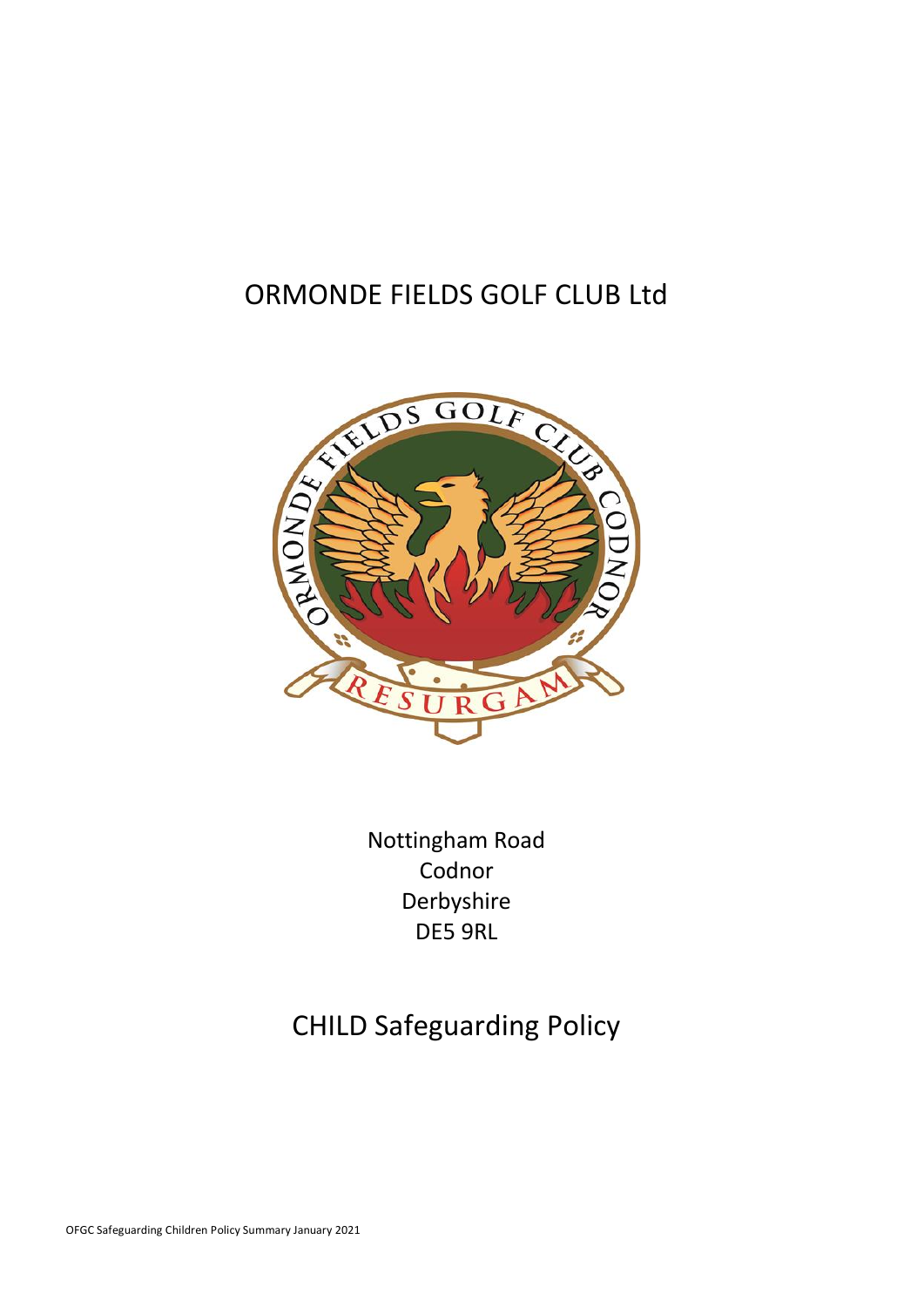# ORMONDE FIELDS GOLF CLUB Ltd



Nottingham Road Codnor Derbyshire DE5 9RL

# CHILD Safeguarding Policy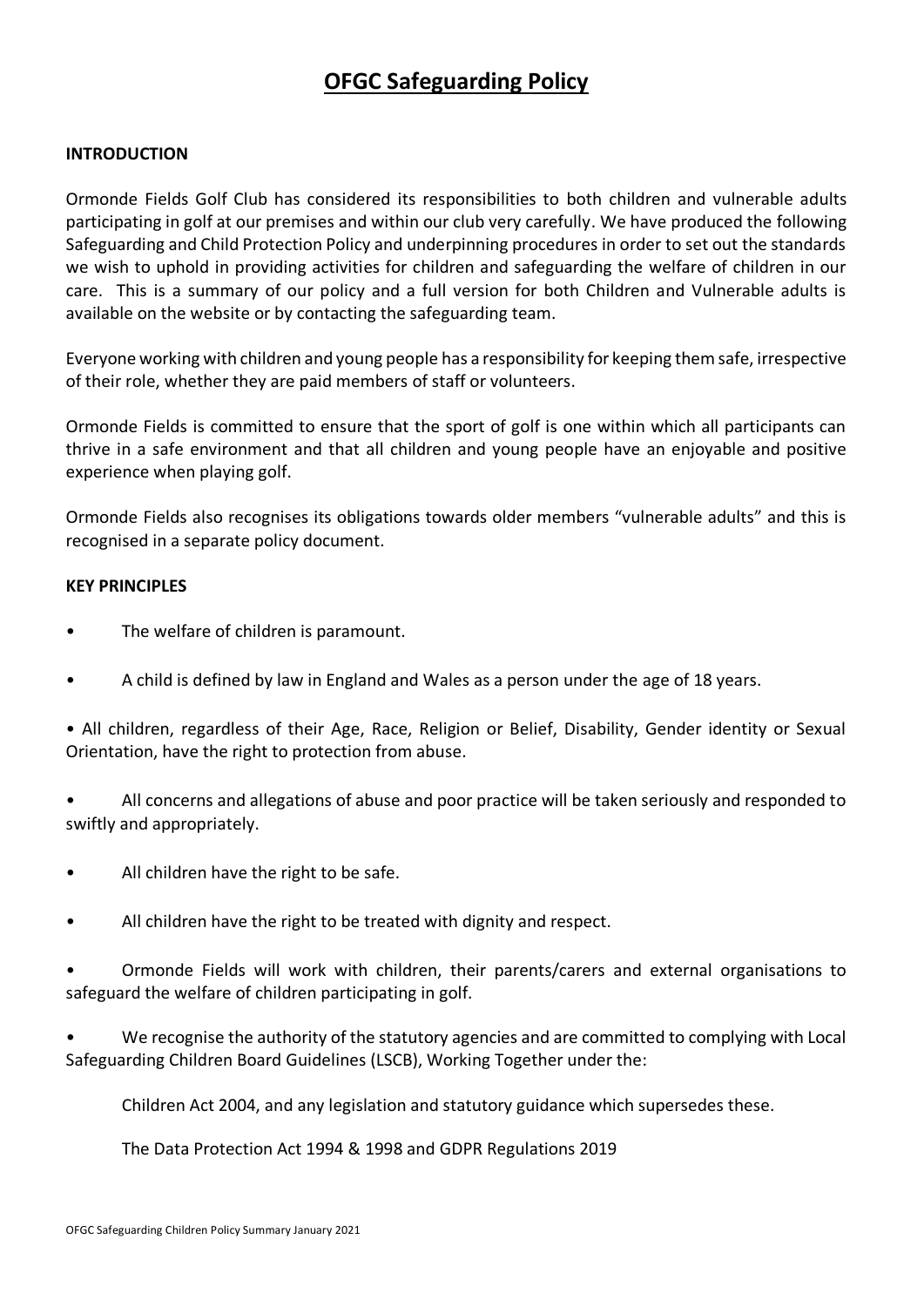# **OFGC Safeguarding Policy**

#### **INTRODUCTION**

Ormonde Fields Golf Club has considered its responsibilities to both children and vulnerable adults participating in golf at our premises and within our club very carefully. We have produced the following Safeguarding and Child Protection Policy and underpinning procedures in order to set out the standards we wish to uphold in providing activities for children and safeguarding the welfare of children in our care. This is a summary of our policy and a full version for both Children and Vulnerable adults is available on the website or by contacting the safeguarding team.

Everyone working with children and young people has a responsibility for keeping them safe, irrespective of their role, whether they are paid members of staff or volunteers.

Ormonde Fields is committed to ensure that the sport of golf is one within which all participants can thrive in a safe environment and that all children and young people have an enjoyable and positive experience when playing golf.

Ormonde Fields also recognises its obligations towards older members "vulnerable adults" and this is recognised in a separate policy document.

#### **KEY PRINCIPLES**

- The welfare of children is paramount.
- A child is defined by law in England and Wales as a person under the age of 18 years.

• All children, regardless of their Age, Race, Religion or Belief, Disability, Gender identity or Sexual Orientation, have the right to protection from abuse.

• All concerns and allegations of abuse and poor practice will be taken seriously and responded to swiftly and appropriately.

- All children have the right to be safe.
- All children have the right to be treated with dignity and respect.

• Ormonde Fields will work with children, their parents/carers and external organisations to safeguard the welfare of children participating in golf.

• We recognise the authority of the statutory agencies and are committed to complying with Local Safeguarding Children Board Guidelines (LSCB), Working Together under the:

Children Act 2004, and any legislation and statutory guidance which supersedes these.

The Data Protection Act 1994 & 1998 and GDPR Regulations 2019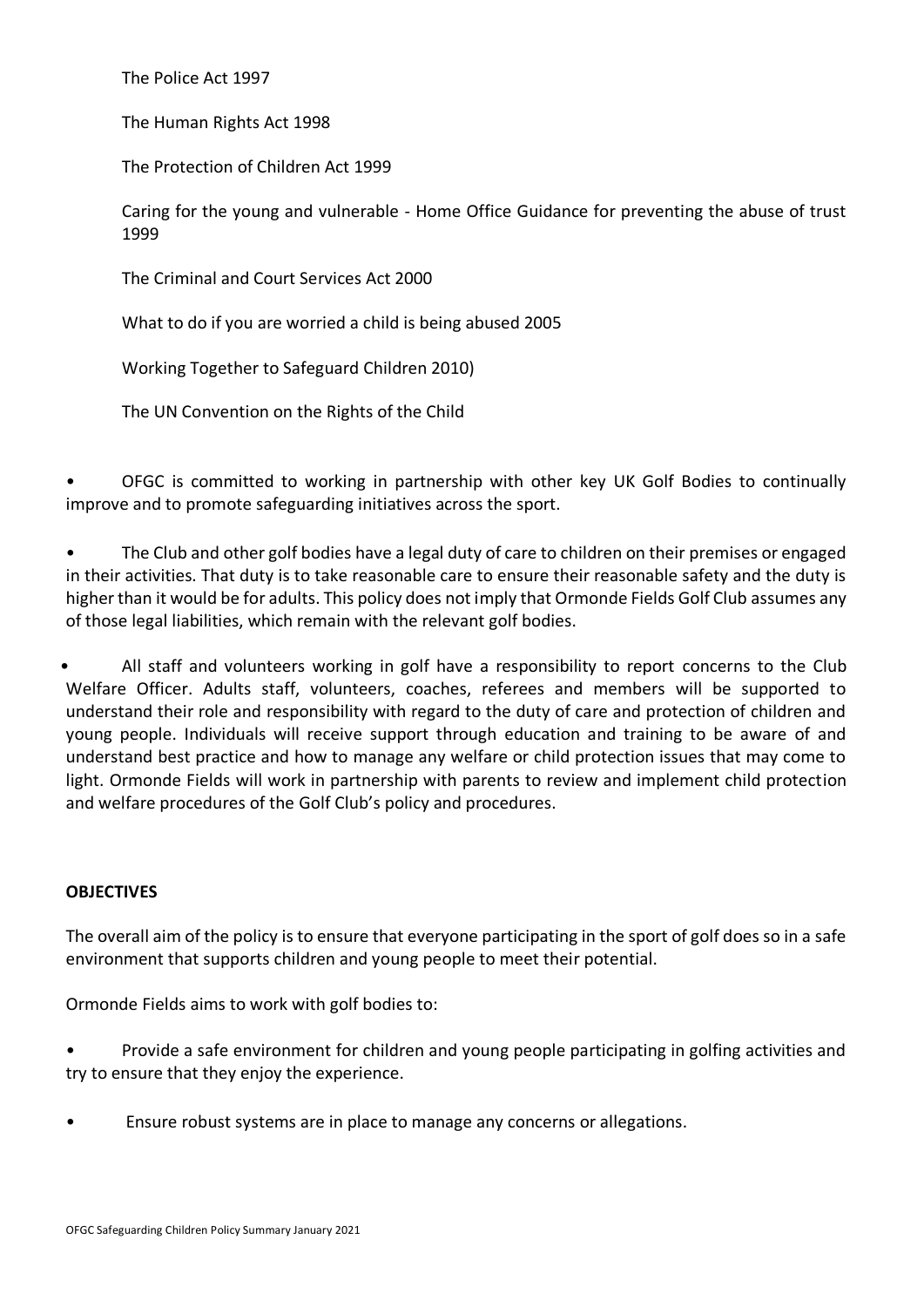The Police Act 1997

The Human Rights Act 1998

The Protection of Children Act 1999

Caring for the young and vulnerable - Home Office Guidance for preventing the abuse of trust 1999

The Criminal and Court Services Act 2000

What to do if you are worried a child is being abused 2005

Working Together to Safeguard Children 2010)

The UN Convention on the Rights of the Child

• OFGC is committed to working in partnership with other key UK Golf Bodies to continually improve and to promote safeguarding initiatives across the sport.

• The Club and other golf bodies have a legal duty of care to children on their premises or engaged in their activities. That duty is to take reasonable care to ensure their reasonable safety and the duty is higher than it would be for adults. This policy does not imply that Ormonde Fields Golf Club assumes any of those legal liabilities, which remain with the relevant golf bodies.

• All staff and volunteers working in golf have a responsibility to report concerns to the Club Welfare Officer. Adults staff, volunteers, coaches, referees and members will be supported to understand their role and responsibility with regard to the duty of care and protection of children and young people. Individuals will receive support through education and training to be aware of and understand best practice and how to manage any welfare or child protection issues that may come to light. Ormonde Fields will work in partnership with parents to review and implement child protection and welfare procedures of the Golf Club's policy and procedures.

### **OBJECTIVES**

The overall aim of the policy is to ensure that everyone participating in the sport of golf does so in a safe environment that supports children and young people to meet their potential.

Ormonde Fields aims to work with golf bodies to:

• Provide a safe environment for children and young people participating in golfing activities and try to ensure that they enjoy the experience.

• Ensure robust systems are in place to manage any concerns or allegations.